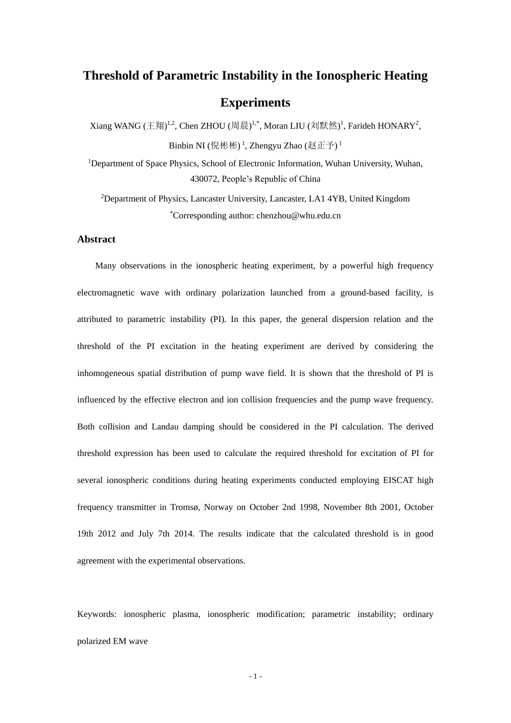# **Threshold of Parametric Instability in the Ionospheric Heating Experiments**

Xiang WANG (王翔)<sup>1,2</sup>, Chen ZHOU (周晨)<sup>1,\*</sup>, Moran LIU (刘默然)<sup>1</sup>, Farideh HONARY<sup>2</sup>, Binbin NI (倪彬彬)<sup>1</sup>, Zhengyu Zhao (赵正予)<sup>1</sup>

<sup>1</sup>Department of Space Physics, School of Electronic Information, Wuhan University, Wuhan, 430072, People's Republic of China

<sup>2</sup>Department of Physics, Lancaster University, Lancaster, LA1 4YB, United Kingdom \*Corresponding author: chenzhou@whu.edu.cn

# **Abstract**

Many observations in the ionospheric heating experiment, by a powerful high frequency electromagnetic wave with ordinary polarization launched from a ground-based facility, is attributed to parametric instability (PI). In this paper, the general dispersion relation and the threshold of the PI excitation in the heating experiment are derived by considering the inhomogeneous spatial distribution of pump wave field. It is shown that the threshold of PI is influenced by the effective electron and ion collision frequencies and the pump wave frequency. Both collision and Landau damping should be considered in the PI calculation. The derived threshold expression has been used to calculate the required threshold for excitation of PI for several ionospheric conditions during heating experiments conducted employing EISCAT high frequency transmitter in Tromsø, Norway on October 2nd 1998, November 8th 2001, October 19th 2012 and July 7th 2014. The results indicate that the calculated threshold is in good agreement with the experimental observations.

Keywords: ionospheric plasma, ionospheric modification; parametric instability; ordinary polarized EM wave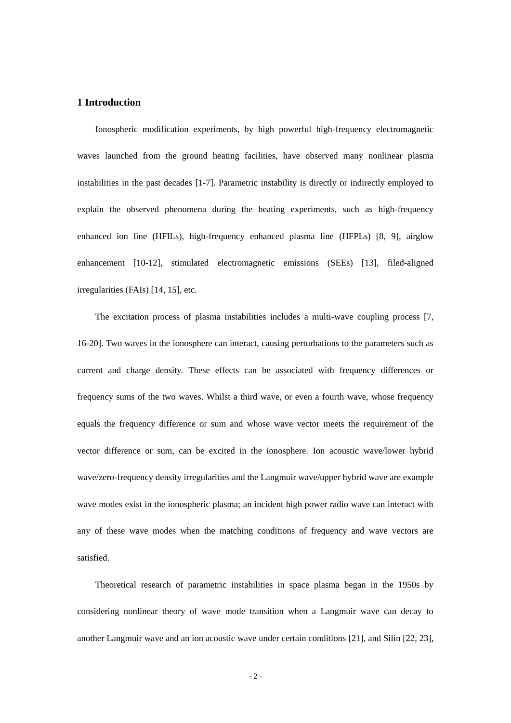# **1 Introduction**

Ionospheric modification experiments, by high powerful high-frequency electromagnetic waves launched from the ground heating facilities, have observed many nonlinear plasma instabilities in the past decades [1-7]. Parametric instability is directly or indirectly employed to explain the observed phenomena during the heating experiments, such as high-frequency enhanced ion line (HFILs), high-frequency enhanced plasma line (HFPLs) [8, 9], airglow enhancement [10-12], stimulated electromagnetic emissions (SEEs) [13], filed-aligned irregularities (FAIs) [14, 15], etc.

The excitation process of plasma instabilities includes a multi-wave coupling process [7, 16-20]. Two waves in the ionosphere can interact, causing perturbations to the parameters such as current and charge density. These effects can be associated with frequency differences or frequency sums of the two waves. Whilst a third wave, or even a fourth wave, whose frequency equals the frequency difference or sum and whose wave vector meets the requirement of the vector difference or sum, can be excited in the ionosphere. Ion acoustic wave/lower hybrid wave/zero-frequency density irregularities and the Langmuir wave/upper hybrid wave are example wave modes exist in the ionospheric plasma; an incident high power radio wave can interact with any of these wave modes when the matching conditions of frequency and wave vectors are satisfied.

Theoretical research of parametric instabilities in space plasma began in the 1950s by considering nonlinear theory of wave mode transition when a Langmuir wave can decay to another Langmuir wave and an ion acoustic wave under certain conditions [21], and Silin [22, 23],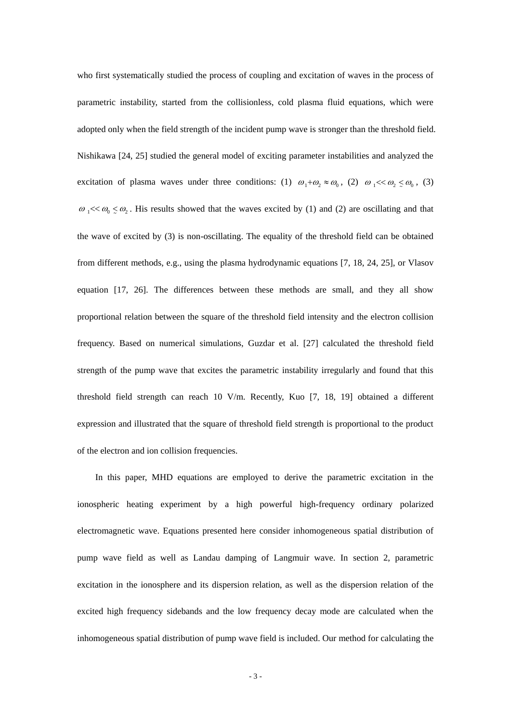who first systematically studied the process of coupling and excitation of waves in the process of parametric instability, started from the collisionless, cold plasma fluid equations, which were adopted only when the field strength of the incident pump wave is stronger than the threshold field. Nishikawa [24, 25] studied the general model of exciting parameter instabilities and analyzed the excitation of plasma waves under three conditions: (1)  $\omega_1 + \omega_2 \approx \omega_0$ , (2)  $\omega_1 \ll \omega_2 \le \omega_0$ , (3)  $\omega_1 \ll \omega_0 \leq \omega_2$ . His results showed that the waves excited by (1) and (2) are oscillating and that the wave of excited by (3) is non-oscillating. The equality of the threshold field can be obtained from different methods, e.g., using the plasma hydrodynamic equations [7, 18, 24, 25], or Vlasov equation [17, 26]. The differences between these methods are small, and they all show proportional relation between the square of the threshold field intensity and the electron collision frequency. Based on numerical simulations, Guzdar et al. [27] calculated the threshold field strength of the pump wave that excites the parametric instability irregularly and found that this threshold field strength can reach 10 V/m. Recently, Kuo [7, 18, 19] obtained a different expression and illustrated that the square of threshold field strength is proportional to the product of the electron and ion collision frequencies.

In this paper, MHD equations are employed to derive the parametric excitation in the ionospheric heating experiment by a high powerful high-frequency ordinary polarized electromagnetic wave. Equations presented here consider inhomogeneous spatial distribution of pump wave field as well as Landau damping of Langmuir wave. In section 2, parametric excitation in the ionosphere and its dispersion relation, as well as the dispersion relation of the excited high frequency sidebands and the low frequency decay mode are calculated when the inhomogeneous spatial distribution of pump wave field is included. Our method for calculating the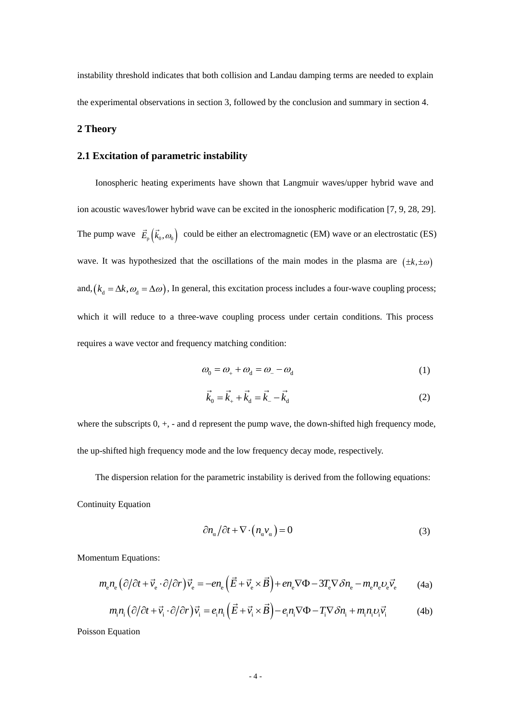instability threshold indicates that both collision and Landau damping terms are needed to explain the experimental observations in section 3, followed by the conclusion and summary in section 4.

# **2 Theory**

# **2.1 Excitation of parametric instability**

Ionospheric heating experiments have shown that Langmuir waves/upper hybrid wave and ion acoustic waves/lower hybrid wave can be excited in the ionospheric modification [7, 9, 28, 29]. The pump wave  $\vec{E}_{p}(\vec{k}_0, \omega_0)$  could be either an electromagnetic (EM) wave or an electrostatic (ES) wave. It was hypothesized that the oscillations of the main modes in the plasma are  $(\pm k, \pm \omega)$ and,  $(k_d = \Delta k, \omega_d = \Delta \omega)$ , In general, this excitation process includes a four-wave coupling process; which it will reduce to a three-wave coupling process under certain conditions. This process requires a wave vector and frequency matching condition:

$$
\omega_0 = \omega_+ + \omega_d = \omega_- - \omega_d \tag{1}
$$

$$
\vec{k}_0 = \vec{k}_+ + \vec{k}_d = \vec{k}_- - \vec{k}_d
$$
 (2)

where the subscripts  $0, +$ ,  $-$  and d represent the pump wave, the down-shifted high frequency mode, the up-shifted high frequency mode and the low frequency decay mode, respectively.

The dispersion relation for the parametric instability is derived from the following equations:

Continuity Equation

$$
\frac{\partial n_{\alpha}}{\partial t} + \nabla \cdot (n_{\alpha} v_{\alpha}) = 0 \tag{3}
$$

Momentum Equations:

entum Equations:  
\n
$$
m_{e}n_{e} (\partial/\partial t + \vec{v}_{e} \cdot \partial/\partial r) \vec{v}_{e} = -en_{e} (\vec{E} + \vec{v}_{e} \times \vec{B}) + en_{e} \nabla \Phi - 3T_{e} \nabla \delta n_{e} - m_{e}n_{e}v_{e} \vec{v}_{e}
$$
\n(4a)  
\n
$$
m_{i}n_{i} (\partial/\partial t + \vec{v}_{i} \cdot \partial/\partial r) \vec{v}_{i} = e_{i}n_{i} (\vec{E} + \vec{v}_{i} \times \vec{B}) - e_{i}n_{i} \nabla \Phi - T_{i} \nabla \delta n_{i} + m_{i}n_{i}v_{i} \vec{v}_{i}
$$
\n(4b)

$$
m_i n_i \left(\partial/\partial t + \vec{v}_i \cdot \partial/\partial r\right) \vec{v}_i = e_i n_i \left(\vec{E} + \vec{v}_i \times \vec{B}\right) - e_i n_i \nabla \Phi - T_i \nabla \delta n_i + m_i n_i v_i \vec{v}_i \tag{4b}
$$

Poisson Equation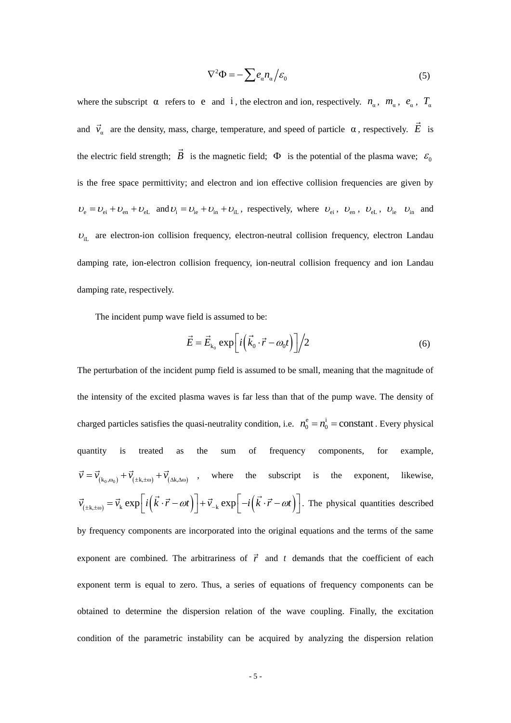$$
\nabla^2 \Phi = -\sum e_\alpha n_\alpha / \varepsilon_0 \tag{5}
$$

where the subscript  $\alpha$  refers to e and i, the electron and ion, respectively.  $n_{\alpha}$ ,  $m_{\alpha}$ ,  $e_{\alpha}$ ,  $T_{\alpha}$ and  $\vec{v}_\alpha$  are the density, mass, charge, temperature, and speed of particle  $\alpha$ , respectively. E is the electric field strength;  $\vec{B}$  is the magnetic field;  $\Phi$  is the potential of the plasma wave;  $\varepsilon_0$ is the free space permittivity; and electron and ion effective collision frequencies are given by  $U_e = U_{ei} + U_{en} + U_{eL}$  and  $U_i = U_{ie} + U_{in} + U_{iL}$ , respectively, where  $U_{ei}$ ,  $U_{en}$ ,  $U_{eL}$ ,  $U_{ie}$   $U_{in}$  and  $U_{iL}$  are electron-ion collision frequency, electron-neutral collision frequency, electron Landau damping rate, ion-electron collision frequency, ion-neutral collision frequency and ion Landau damping rate, respectively.

The incident pump wave field is assumed to be:

$$
\vec{E} = \vec{E}_{k_0} \exp\left[i\left(\vec{k}_0 \cdot \vec{r} - \omega_0 t\right)\right] \bigg/ 2 \tag{6}
$$

The perturbation of the incident pump field is assumed to be small, meaning that the magnitude of the intensity of the excited plasma waves is far less than that of the pump wave. The density of charged particles satisfies the quasi-neutrality condition, i.e.  $n_0^e = n_0^i = constant$ . Every physical quantity is treated as the sum of frequency components, for example,  $\vec{v} = \vec{v}_{(k_0,\omega_0)} + \vec{v}_{(\pm k,\pm \omega)} + \vec{v}_{(\Delta k,\Delta \omega)}$ , where the subscript is the exponent, likewise,  $v = v_{(k_0, \omega_0)} + v_{(\pm k, \pm \omega)} + v_{(\Delta k, \Delta \omega)}$ , where the subscript is t<br>  $\vec{v}_{(\pm k, \pm \omega)} = \vec{v}_k \exp\left[i(\vec{k} \cdot \vec{r} - \omega t)\right] + \vec{v}_{-\kappa} \exp\left[-i(\vec{k} \cdot \vec{r} - \omega t)\right]$ . The ph . The physical quantities described by frequency components are incorporated into the original equations and the terms of the same exponent are combined. The arbitrariness of  $\vec{r}$  and t demands that the coefficient of each exponent term is equal to zero. Thus, a series of equations of frequency components can be obtained to determine the dispersion relation of the wave coupling. Finally, the excitation condition of the parametric instability can be acquired by analyzing the dispersion relation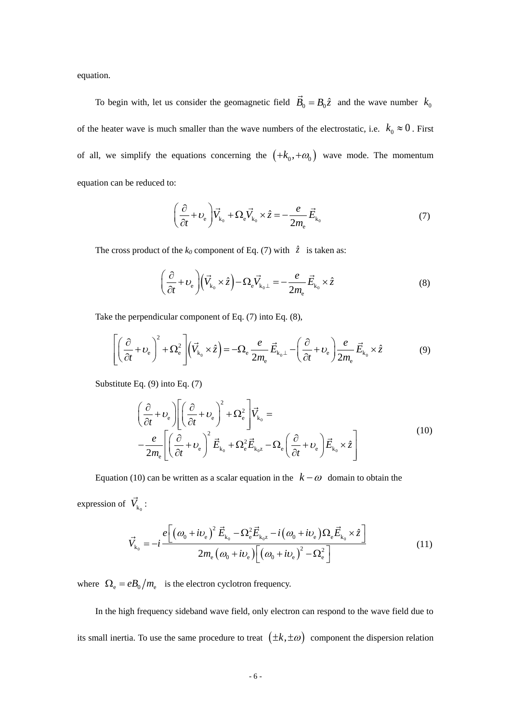equation.

To begin with, let us consider the geomagnetic field  $\vec{B}_0 = B_0 \hat{z}$  and the wave number  $k_0$ of the heater wave is much smaller than the wave numbers of the electrostatic, i.e.  $k_0 \approx 0$ . First of all, we simplify the equations concerning the  $(+k_0, +\omega_0)$  wave mode. The momentum equation can be reduced to:

$$
\left(\frac{\partial}{\partial t} + \nu_{\rm e}\right) \vec{V}_{k_0} + \Omega_{\rm e} \vec{V}_{k_0} \times \hat{z} = -\frac{e}{2m_{\rm e}} \vec{E}_{k_0}
$$
\n(7)

The cross product of the  $k_0$  component of Eq. (7) with  $\hat{z}$  is taken as:

$$
\left(\frac{\partial}{\partial t} + \nu_{\rm e}\right) \left(\vec{V}_{k_0} \times \hat{z}\right) - \Omega_{\rm e} \vec{V}_{k_0 \perp} = -\frac{e}{2m_{\rm e}} \vec{E}_{k_0} \times \hat{z}
$$
\n(8)

Take the perpendicular component of Eq. (7) into Eq. (8),  
\n
$$
\left[ \left( \frac{\partial}{\partial t} + \nu_e \right)^2 + \Omega_e^2 \right] \left( \vec{V}_{k_0} \times \hat{z} \right) = -\Omega_e \frac{e}{2m_e} \vec{E}_{k_0 \perp} - \left( \frac{\partial}{\partial t} + \nu_e \right) \frac{e}{2m_e} \vec{E}_{k_0} \times \hat{z}
$$
\n(9)

Substitute Eq. (9) into Eq. (7)

Eq. (9) into Eq. (7)  
\n
$$
\left(\frac{\partial}{\partial t} + U_e\right) \left[ \left(\frac{\partial}{\partial t} + U_e\right)^2 + \Omega_e^2 \right] \vec{V}_{k_0} = -\frac{e}{2m_e} \left[ \left(\frac{\partial}{\partial t} + U_e\right)^2 \vec{E}_{k_0} + \Omega_e^2 \vec{E}_{k_0 z} - \Omega_e \left(\frac{\partial}{\partial t} + U_e\right) \vec{E}_{k_0} \times \hat{z} \right]
$$
\n(10)

Equation (10) can be written as a scalar equation in the  $k - \omega$  domain to obtain the expression of  $V_{k_0}$ :

$$
V_{k_0}: \n\vec{V}_{k_0} = -i \frac{e \left[ \left( \omega_0 + i \nu_e \right)^2 \vec{E}_{k_0} - \Omega_e^2 \vec{E}_{k_0 z} - i \left( \omega_0 + i \nu_e \right) \Omega_e \vec{E}_{k_0} \times \hat{z} \right]}{2m_e \left( \omega_0 + i \nu_e \right) \left[ \left( \omega_0 + i \nu_e \right)^2 - \Omega_e^2 \right]}
$$
\n(11)

where  $\Omega_e = eB_0/m_e$  is the electron cyclotron frequency.

In the high frequency sideband wave field, only electron can respond to the wave field due to its small inertia. To use the same procedure to treat  $(\pm k, \pm \omega)$  component the dispersion relation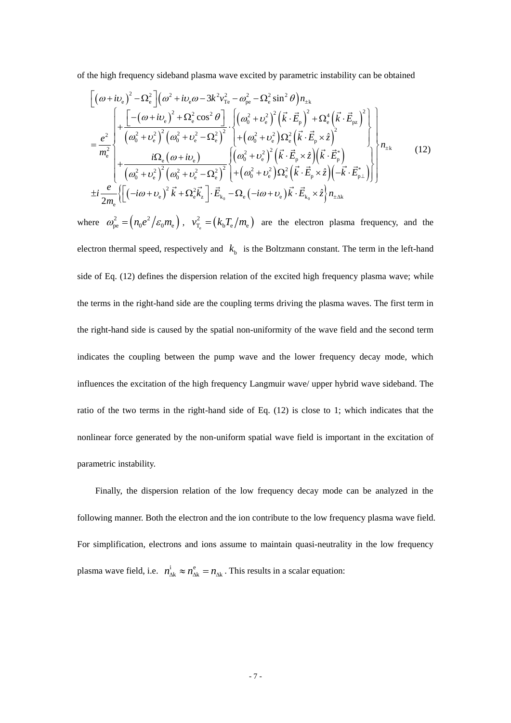of the high frequency sideband plasma wave excited by parametric instability can be obtained  
\n
$$
\left[ (\omega + i\nu_e)^2 - \Omega_e^2 \right] (\omega^2 + i\nu_e \omega - 3k^2 \nu_{Te}^2 - \omega_{pe}^2 - \Omega_e^2 \sin^2 \theta) n_{\pm k}
$$
\n
$$
= \frac{e^2}{m_e^2} \left\{ + \frac{\left[ -(\omega + i\nu_e)^2 + \Omega_e^2 \cos^2 \theta \right]}{(\omega_0^2 + \nu_e^2)^2 (\omega_0^2 + \nu_e^2 - \Omega_e^2)^2} \cdot \left\{ + (\omega_0^2 + \nu_e^2)^2 (\vec{k} \cdot \vec{E}_p)^2 + \Omega_e^4 (\vec{k} \cdot \vec{E}_{pz})^2 \right\} \right\}
$$
\n
$$
= \frac{e^2}{m_e^2} \left\{ + \frac{i\Omega_e (\omega + i\nu_e)}{(\omega_0^2 + \nu_e^2)^2 (\omega_0^2 + \nu_e^2 - \Omega_e^2)^2} \right\} \left\{ + (\omega_0^2 + \nu_e^2)^2 (\vec{k} \cdot \vec{E}_p \times \hat{z}) (\vec{k} \cdot \vec{E}_p) \right\} \right\} n_{\pm k}
$$
\n(12)\n
$$
\pm i \frac{e}{2m_e} \left\{ \left[ (-i\omega + \nu_e)^2 \vec{k} + \Omega_e^2 \vec{k}_z \right] \cdot \vec{E}_{k_0} - \Omega_e (-i\omega + \nu_e) \vec{k} \cdot \vec{E}_{k_0} \times \hat{z} \right\} n_{\pm \Delta k}
$$

where  $\omega_{pe}^2 = (n_0 e^2 / \varepsilon_0 m_e)$ ,  $v_{T_e}^2 = (k_b T_e / m_e)$  $v_{\rm T_e}^2 = (k_{\rm b} T_{\rm e}/m_{\rm e})$  are the electron plasma frequency, and the electron thermal speed, respectively and  $k<sub>b</sub>$  is the Boltzmann constant. The term in the left-hand side of Eq. (12) defines the dispersion relation of the excited high frequency plasma wave; while the terms in the right-hand side are the coupling terms driving the plasma waves. The first term in the right-hand side is caused by the spatial non-uniformity of the wave field and the second term indicates the coupling between the pump wave and the lower frequency decay mode, which influences the excitation of the high frequency Langmuir wave/ upper hybrid wave sideband. The ratio of the two terms in the right-hand side of Eq. (12) is close to 1; which indicates that the nonlinear force generated by the non-uniform spatial wave field is important in the excitation of parametric instability.

Finally, the dispersion relation of the low frequency decay mode can be analyzed in the following manner. Both the electron and the ion contribute to the low frequency plasma wave field. For simplification, electrons and ions assume to maintain quasi-neutrality in the low frequency plasma wave field, i.e.  $n_{\Delta k}^{i} \approx n_{\Delta k}^{e} = n_{\Delta k}$ . This results in a scalar equation: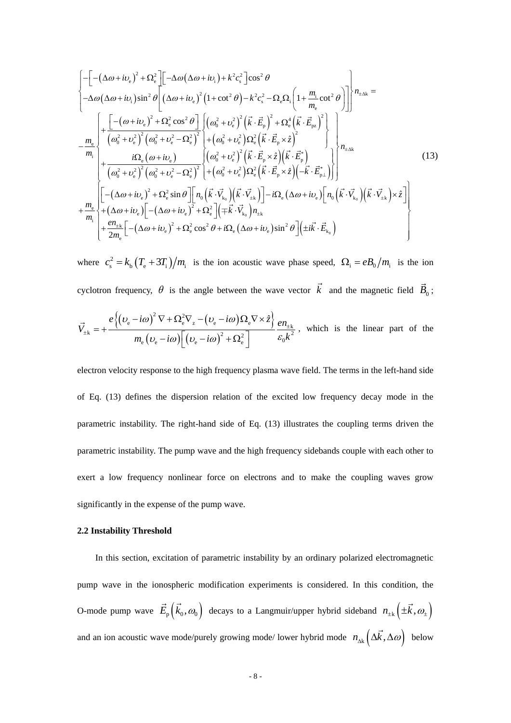$$
\begin{split}\n&\left[-\left(-(\Delta\omega+i\nu_{e})^{2}+\Omega_{e}^{2}\right]\left[-\Delta\omega(\Delta\omega+i\nu_{i})+k^{2}c_{s}^{2}\right]\cos^{2}\theta\right. \\
&\left. -\Delta\omega(\Delta\omega+i\nu_{i})\sin^{2}\theta\left[(\Delta\omega+i\nu_{e})^{2}\left(1+\cot^{2}\theta\right)-k^{2}c_{s}^{2}-\Omega_{e}\Omega_{i}\left(1+\frac{m_{i}}{m_{e}}\cot^{2}\theta\right)\right]\right]n_{\pm\Delta k} \\
&=\frac{m_{e}}{m_{i}}\left\{\frac{\left[-\left(\omega+i\nu_{e}\right)^{2}+\Omega_{e}^{2}\cos^{2}\theta\right]\left((\omega_{0}^{2}+\nu_{e}^{2})^{2}\left(\vec{k}\cdot\vec{E}_{p}\right)^{2}+\Omega_{e}^{4}\left(\vec{k}\cdot\vec{E}_{p}\right)^{2}\right]}{m_{i}}\right\}+\frac{i\Omega_{e}(\omega+i\nu_{e})}{\left(\omega_{0}^{2}+\nu_{e}^{2}\right)^{2}\left(\omega_{0}^{2}+\nu_{e}^{2}-\Omega_{e}^{2}\right)^{2}}\right\}+\left(\omega_{0}^{2}+\nu_{e}^{2}\right)\Omega_{e}^{2}\left(\vec{k}\cdot\vec{E}_{p}\times\hat{z}\right)^{2}\right\} \\
&+\frac{i\Omega_{e}(\omega+i\nu_{e})}{\left(\omega_{0}^{2}+\nu_{e}^{2}\right)^{2}\left(\omega_{0}^{2}+\nu_{e}^{2}-\Omega_{e}^{2}\right)^{2}}\left.\left(\omega_{0}^{2}+\nu_{e}^{2}\right)\Omega_{e}^{2}\left(\vec{k}\cdot\vec{E}_{p}\times\hat{z}\right)\left(-\vec{k}\cdot\vec{E}_{p}^{*}\right)\right\}\right\}n_{\pm\Delta k} \\
&+\frac{m_{e}}{m_{i}}\left[\left[-(\Delta\omega+i\nu_{e})^{2}+\Omega_{e}^{2}\sin\theta\right]\left[n_{0}\left(\vec{k}\cdot\vec{V}_{k_{0}}\right)\left(\vec{k}\cdot\vec{V}_{k_{0}}\right)\right]-i\Omega_{e}(\Delta\omega+i\nu_{e})\left[n_{0}\left(\vec{k}\cdot\vec{V}_{k_{0}}\right)\left(\vec{k}\cdot\vec{V}_{k_{0}}\right)\right]\right.\n\end{split} \tag{13}
$$

where  $c_s^2 = k_b (T_e + 3T_i)/m_i$  is the ion acoustic wave phase speed,  $\Omega_i = eB_0/m_i$  is the ion

cyclotron frequency, 
$$
\theta
$$
 is the angle between the wave vector k and the magnetic field  $\vec{B}_0$ ;  
\n
$$
\vec{V}_{\pm k} = + \frac{e \left\{ (v_e - i\omega)^2 \nabla + \Omega_e^2 \nabla_z - (v_e - i\omega) \Omega_e \nabla \times \hat{z} \right\}}{m_e \left( v_e - i\omega \right) \left[ \left( v_e - i\omega \right)^2 + \Omega_e^2 \right]} \frac{en_{\pm k}}{\varepsilon_0 k^2},
$$
\nwhich is the linear part of the

electron velocity response to the high frequency plasma wave field. The terms in the left-hand side of Eq. (13) defines the dispersion relation of the excited low frequency decay mode in the parametric instability. The right-hand side of Eq. (13) illustrates the coupling terms driven the parametric instability. The pump wave and the high frequency sidebands couple with each other to exert a low frequency nonlinear force on electrons and to make the coupling waves grow significantly in the expense of the pump wave.

## **2.2 Instability Threshold**

In this section, excitation of parametric instability by an ordinary polarized electromagnetic pump wave in the ionospheric modification experiments is considered. In this condition, the O-mode pump wave  $E_p(k_0, \omega_0)$  decays to a Langmuir/upper hybrid sideband  $n_{\pm k}(\pm k, \omega_{\pm})$ and an ion acoustic wave mode/purely growing mode/ lower hybrid mode  $n_{\alpha k} (\Delta k, \Delta \omega)$  below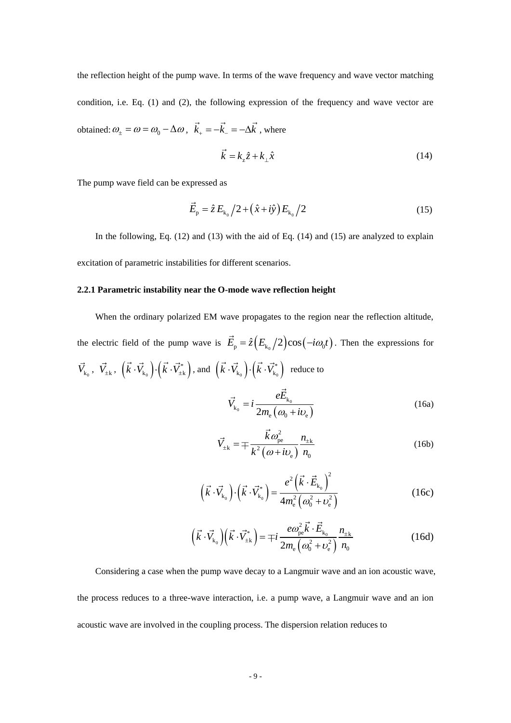the reflection height of the pump wave. In terms of the wave frequency and wave vector matching condition, i.e. Eq. (1) and (2), the following expression of the frequency and wave vector are obtained:  $\omega_{\pm} = \omega = \omega_0 - \Delta \omega$ ,  $\vec{k}_{+} = -\vec{k}_{-} = -\Delta \vec{k}$ , where

$$
\vec{k} = k_z \hat{z} + k_\perp \hat{x} \tag{14}
$$

The pump wave field can be expressed as

$$
\vec{E}_{\rm p} = \hat{z} E_{\rm k_0} / 2 + (\hat{x} + i\hat{y}) E_{\rm k_0} / 2
$$
 (15)

In the following, Eq. (12) and (13) with the aid of Eq. (14) and (15) are analyzed to explain excitation of parametric instabilities for different scenarios.

## **2.2.1 Parametric instability near the O-mode wave reflection height**

When the ordinary polarized EM wave propagates to the region near the reflection altitude,

the electric field of the pump wave is  $\vec{E}_{p} = \hat{z} (E_{k_0}/2) \cos(-i\omega_0 t)$ . Then the expressions for  $\vec{V}_{k_0}$ ,  $\vec{V}_{\pm k}$ ,  $(\vec{k} \cdot \vec{V}_{k_0}) \cdot (\vec{k} \cdot \vec{V}_{\pm k}^*)$ , and  $(\vec{k} \cdot \vec{V}_{k_0}) \cdot (\vec{k} \cdot \vec{V}_{k_0}^*)$  reduce to  $(\omega_0 + i \nu_e)$  $\mathbf 0$  $\mathbf 0$ k  $k_0$ <sup>-*t*</sup> 2m<sub>e</sub> ( $\omega_0 + i v_e$  $\vec{V}_{k_0} = i \frac{eE}{2}$  $= i \frac{1}{2m_e} \left( \frac{\omega_{\text{m}}}{\omega_0 + i \omega_e} \right)$ + (16a)

$$
\vec{V}_{\pm k} = \mp \frac{\vec{k}\omega_{pe}^2}{k^2(\omega + i\nu_e)} \frac{n_{\pm k}}{n_0}
$$
 (16b)

$$
\left(\vec{k} \cdot \vec{V}_{k_0}\right) \cdot \left(\vec{k} \cdot \vec{V}_{k_0}^*\right) = \frac{e^2 \left(\vec{k} \cdot \vec{E}_{k_0}\right)^2}{4m_e^2 \left(\omega_0^2 + \nu_e^2\right)}
$$
(16c)

$$
\left(\vec{k}\cdot\vec{V}_{k_0}\right)\left(\vec{k}\cdot\vec{V}_{\pm k}^*\right) = \mp i \frac{e\omega_{pe}^2 \vec{k}\cdot\vec{E}_{k_0}}{2m_e\left(\omega_0^2 + \nu_e^2\right)} \frac{n_{\pm k}}{n_0}
$$
(16d)

Considering a case when the pump wave decay to a Langmuir wave and an ion acoustic wave, the process reduces to a three-wave interaction, i.e. a pump wave, a Langmuir wave and an ion acoustic wave are involved in the coupling process. The dispersion relation reduces to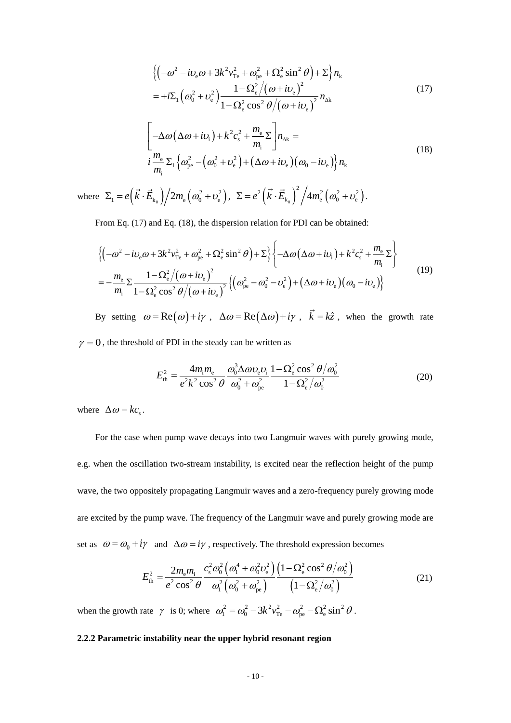$$
\begin{split} &\left\{ \left( -\omega^2 - i\upsilon_{\rm e}\omega + 3k^2 v_{\rm Te}^2 + \omega_{\rm pe}^2 + \Omega_{\rm e}^2 \sin^2\theta \right) + \Sigma \right\} n_{\rm k} \\ &= +i\Sigma_1 \left( \omega_0^2 + \upsilon_{\rm e}^2 \right) \frac{1 - \Omega_{\rm e}^2 / \left( \omega + i\upsilon_{\rm e} \right)^2}{1 - \Omega_{\rm e}^2 \cos^2\theta / \left( \omega + i\upsilon_{\rm e} \right)^2} n_{\rm ak} \end{split} \tag{17}
$$

$$
1 - \Omega_e^2 \cos^2 \theta / (\omega + i\omega_e)
$$
  

$$
\left[ -\Delta \omega (\Delta \omega + i\omega_i) + k^2 c_s^2 + \frac{m_e}{m_i} \Sigma \right] n_{\Delta k} =
$$
  

$$
i \frac{m_e}{m_i} \Sigma_1 \left\{ \omega_{pe}^2 - (\omega_0^2 + \omega_e^2) + (\Delta \omega + i\omega_e) (\omega_0 - i\omega_e) \right\} n_k
$$
 (18)

where  $\Sigma_1 = e(k \cdot E_{k_0}) / 2m_e (\omega_0^2 + \omega_e^2)$  $\Sigma_1 = e(\vec{k} \cdot \vec{E}_{k_0})/2m_e(\omega_0^2 + \nu_e^2), \ \ \Sigma = e^2(\vec{k} \cdot \vec{E}_{k_0})^2/4m_e^2(\omega_0^2 + \nu_e^2).$ 

From Eq. (17) and Eq. (18), the dispersion relation for PDI can be obtained:  
\n
$$
\left\{ \left( -\omega^2 - i v_e \omega + 3k^2 v_{\text{Te}}^2 + \omega_{\text{pe}}^2 + \Omega_e^2 \sin^2 \theta \right) + \Sigma \right\} \left\{ -\Delta \omega \left( \Delta \omega + i v_i \right) + k^2 c_s^2 + \frac{m_e}{m_i} \Sigma \right\}
$$
\n
$$
= -\frac{m_e}{m_i} \Sigma \frac{1 - \Omega_e^2 / (\omega + i v_e)^2}{1 - \Omega_e^2 \cos^2 \theta / (\omega + i v_e)^2} \left\{ \left( \omega_{\text{pe}}^2 - \omega_0^2 - v_e^2 \right) + \left( \Delta \omega + i v_e \right) \left( \omega_0 - i v_e \right) \right\}
$$
\n(19)

By setting  $\omega = \text{Re}(\omega) + i\gamma$ ,  $\Delta \omega = \text{Re}(\Delta \omega) + i\gamma$ ,  $\vec{k} = k\hat{z}$ , when the growth rate  $\gamma = 0$ , the threshold of PDI in the steady can be written as

$$
E_{\text{th}}^{2} = \frac{4m_{\text{i}}m_{\text{e}}}{e^{2}k^{2}\cos^{2}\theta} \frac{\omega_{0}^{3}\Delta\omega v_{\text{e}}v_{\text{i}}}{\omega_{0}^{2} + \omega_{\text{pe}}^{2}} \frac{1 - \Omega_{\text{e}}^{2}\cos^{2}\theta/\omega_{0}^{2}}{1 - \Omega_{\text{e}}^{2}/\omega_{0}^{2}}
$$
(20)

where  $\Delta \omega = k c_s$ .

For the case when pump wave decays into two Langmuir waves with purely growing mode, e.g. when the oscillation two-stream instability, is excited near the reflection height of the pump wave, the two oppositely propagating Langmuir waves and a zero-frequency purely growing mode are excited by the pump wave. The frequency of the Langmuir wave and purely growing mode are

set as 
$$
\omega = \omega_0 + i\gamma
$$
 and  $\Delta \omega = i\gamma$ , respectively. The threshold expression becomes  
\n
$$
E_{\text{th}}^2 = \frac{2m_{\text{e}}m_{\text{i}}}{e^2 \cos^2 \theta} \frac{c_{\text{s}}^2 \omega_0^2 \left(\omega_1^4 + \omega_0^2 \nu_{\text{e}}^2\right) \left(1 - \Omega_{\text{e}}^2 \cos^2 \theta / \omega_0^2\right)}{\omega_1^2 \left(\omega_0^2 + \omega_{\text{pe}}^2\right)} \frac{\left(1 - \Omega_{\text{e}}^2 / \omega_0^2\right)}{\left(1 - \Omega_{\text{e}}^2 / \omega_0^2\right)}
$$
(21)

when the growth rate  $\gamma$  is 0; where  $\omega_1^2 = \omega_0^2 - 3k^2 v_{\text{Te}}^2 - \omega_{\text{pe}}^2 - \Omega_{\text{e}}^2 \sin^2 \theta$ .

#### **2.2.2 Parametric instability near the upper hybrid resonant region**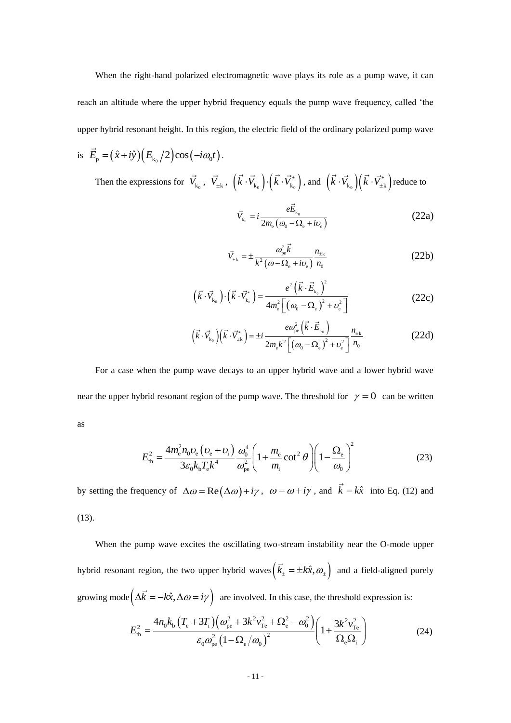When the right-hand polarized electromagnetic wave plays its role as a pump wave, it can reach an altitude where the upper hybrid frequency equals the pump wave frequency, called 'the upper hybrid resonant height. In this region, the electric field of the ordinary polarized pump wave

is  $\vec{E}_{\rm p} = (\hat{x} + i\hat{y}) (E_{k_0}/2) \cos(-i\omega_0 t)$ .

Then the expressions for  $\vec{V}_{k_0}$ ,  $\vec{V}_{\pm k}$ ,  $(\vec{k} \cdot \vec{V}_{k_0}) \cdot (\vec{k} \cdot \vec{V}_{k_0}^*)$ , and  $(\vec{k} \cdot \vec{V}_{k_0})(\vec{k} \cdot \vec{V}_{\pm k}^*)$  reduce to

$$
\vec{V}_{k_0} = i \frac{e \vec{E}_{k_0}}{2m_e \left(\omega_0 - \Omega_e + i v_e\right)}
$$
(22a)

$$
\vec{V}_{\pm k} = \pm \frac{\omega_{pe}^2 \vec{k}}{k^2 (\omega - \Omega_e + i\nu_e)} \frac{n_{\pm k}}{n_0}
$$
 (22b)

$$
\left(\vec{k}\cdot\vec{V}_{k_0}\right)\cdot\left(\vec{k}\cdot\vec{V}_{k_0}^*\right) = \frac{e^2\left(\vec{k}\cdot\vec{E}_{k_0}\right)^2}{4m_e^2\left[\left(\omega_0-\Omega_e\right)^2+\nu_e^2\right]}
$$
(22c)

$$
(\vec{k} \cdot \vec{V}_{k_0})(\vec{k} \cdot \vec{V}_{\pm k}) = \pm i \frac{e\omega_{pe}^2(\vec{k} \cdot \vec{E}_{k_0})}{2m_e k^2 \left[ (\omega_0 - \Omega_e)^2 + v_e^2 \right]} \frac{n_{\pm k}}{n_0}
$$
(22d)

For a case when the pump wave decays to an upper hybrid wave and a lower hybrid wave near the upper hybrid resonant region of the pump wave. The threshold for  $\gamma = 0$  can be written as

$$
\overline{a}
$$

$$
E_{\text{th}}^{2} = \frac{4m_{\text{e}}^{2}n_{0}v_{\text{e}}\left(v_{\text{e}}+v_{\text{i}}\right)}{3\varepsilon_{0}k_{\text{b}}T_{\text{e}}k^{4}}\frac{\omega_{0}^{4}}{\omega_{\text{pe}}^{2}}\left(1+\frac{m_{\text{e}}}{m_{\text{i}}} \cot^{2}\theta\right)\left(1-\frac{\Omega_{\text{e}}}{\omega_{0}}\right)^{2}
$$
(23)

by setting the frequency of  $\Delta \omega = \text{Re}(\Delta \omega) + i\gamma$ ,  $\omega = \omega + i\gamma$ , and  $\vec{k} = k\hat{x}$  into Eq. (12) and (13).

When the pump wave excites the oscillating two-stream instability near the O-mode upper hybrid resonant region, the two upper hybrid waves  $(k_{\pm} = \pm k\hat{x}, \omega_{\pm})$  and a field-aligned purely growing mode  $(\Delta \vec{k} = -k\hat{x}, \Delta \omega = i\gamma)$  are involved. In this case, the threshold expression is:

$$
\left(\Delta \dot{K} = -k\hat{x}, \Delta \omega = i\gamma\right) \text{ are involved. In this case, the threshold expression is:}
$$
\n
$$
E_{\text{th}}^2 = \frac{4n_0k_b\left(T_e + 3T_i\right)\left(\omega_{\text{pe}}^2 + 3k^2v_{\text{Te}}^2 + \Omega_e^2 - \omega_0^2\right)}{\varepsilon_0\omega_{\text{pe}}^2\left(1 - \Omega_e/\omega_0\right)^2} \left(1 + \frac{3k^2v_{\text{Te}}^2}{\Omega_e\Omega_i}\right) \tag{24}
$$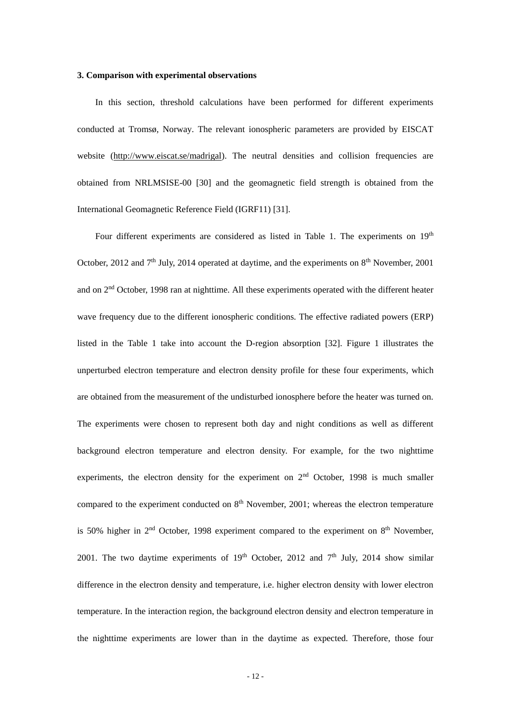## **3. Comparison with experimental observations**

In this section, threshold calculations have been performed for different experiments conducted at Tromsø, Norway. The relevant ionospheric parameters are provided by EISCAT website [\(http://www.eiscat.se/madrigal\)](http://www.eiscat.se/madrigal). The neutral densities and collision frequencies are obtained from NRLMSISE-00 [30] and the geomagnetic field strength is obtained from the International Geomagnetic Reference Field (IGRF11) [31].

Four different experiments are considered as listed in Table 1. The experiments on  $19<sup>th</sup>$ October, 2012 and  $7<sup>th</sup>$  July, 2014 operated at daytime, and the experiments on  $8<sup>th</sup>$  November, 2001 and on 2nd October, 1998 ran at nighttime. All these experiments operated with the different heater wave frequency due to the different ionospheric conditions. The effective radiated powers (ERP) listed in the Table 1 take into account the D-region absorption [32]. Figure 1 illustrates the unperturbed electron temperature and electron density profile for these four experiments, which are obtained from the measurement of the undisturbed ionosphere before the heater was turned on. The experiments were chosen to represent both day and night conditions as well as different background electron temperature and electron density. For example, for the two nighttime experiments, the electron density for the experiment on 2<sup>nd</sup> October, 1998 is much smaller compared to the experiment conducted on  $8<sup>th</sup>$  November, 2001; whereas the electron temperature is 50% higher in  $2<sup>nd</sup>$  October, 1998 experiment compared to the experiment on  $8<sup>th</sup>$  November, 2001. The two daytime experiments of  $19<sup>th</sup>$  October, 2012 and  $7<sup>th</sup>$  July, 2014 show similar difference in the electron density and temperature, i.e. higher electron density with lower electron temperature. In the interaction region, the background electron density and electron temperature in the nighttime experiments are lower than in the daytime as expected. Therefore, those four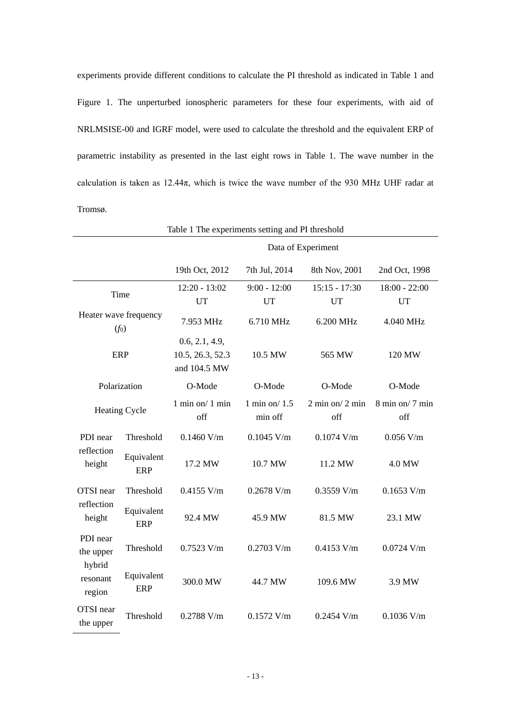experiments provide different conditions to calculate the PI threshold as indicated in Table 1 and Figure 1. The unperturbed ionospheric parameters for these four experiments, with aid of NRLMSISE-00 and IGRF model, were used to calculate the threshold and the equivalent ERP of parametric instability as presented in the last eight rows in Table 1. The wave number in the calculation is taken as  $12.44\pi$ , which is twice the wave number of the 930 MHz UHF radar at Tromsø.

| Table 1 The experiments setting and PI threshold                                           |                          |                                                    |                             |                              |                                            |  |  |
|--------------------------------------------------------------------------------------------|--------------------------|----------------------------------------------------|-----------------------------|------------------------------|--------------------------------------------|--|--|
|                                                                                            |                          | Data of Experiment                                 |                             |                              |                                            |  |  |
|                                                                                            |                          | 19th Oct, 2012                                     | 7th Jul, 2014               | 8th Nov, 2001                | 2nd Oct, 1998                              |  |  |
| Time                                                                                       |                          | $12:20 - 13:02$<br><b>UT</b>                       | $9:00 - 12:00$<br><b>UT</b> | $15:15 - 17:30$<br><b>UT</b> | $18:00 - 22:00$<br><b>UT</b>               |  |  |
| Heater wave frequency<br>$(f_0)$                                                           |                          | 7.953 MHz                                          | 6.710 MHz                   | 6.200 MHz                    | 4.040 MHz                                  |  |  |
| <b>ERP</b>                                                                                 |                          | 0.6, 2.1, 4.9,<br>10.5, 26.3, 52.3<br>and 104.5 MW | 10.5 MW                     | 565 MW                       | 120 MW                                     |  |  |
| Polarization                                                                               |                          | O-Mode                                             | O-Mode                      | O-Mode                       | O-Mode                                     |  |  |
| <b>Heating Cycle</b>                                                                       |                          | $1$ min on/ $1$ min<br>off                         | 1 min on/1.5<br>min off     | $2 min$ on/ $2 min$<br>off   | $8 \text{ min}$ on/ $7 \text{ min}$<br>off |  |  |
| PDI near<br>reflection<br>height                                                           | Threshold                | $0.1460$ V/m                                       | $0.1045$ V/m                | $0.1074$ V/m                 | $0.056$ V/m                                |  |  |
|                                                                                            | Equivalent<br><b>ERP</b> | 17.2 MW                                            | 10.7 MW                     | 11.2 MW                      | 4.0 MW                                     |  |  |
| OTSI near<br>reflection<br>height<br>PDI near<br>the upper<br>hybrid<br>resonant<br>region | Threshold                | $0.4155$ V/m                                       | $0.2678$ V/m                | $0.3559$ V/m                 | $0.1653$ V/m                               |  |  |
|                                                                                            | Equivalent<br><b>ERP</b> | 92.4 MW                                            | 45.9 MW                     | 81.5 MW                      | 23.1 MW                                    |  |  |
|                                                                                            | Threshold                | $0.7523$ V/m                                       | $0.2703$ V/m                | $0.4153$ V/m                 | $0.0724$ V/m                               |  |  |
|                                                                                            | Equivalent<br><b>ERP</b> | 300.0 MW                                           | 44.7 MW                     | 109.6 MW                     | 3.9 MW                                     |  |  |
| OTSI near<br>the upper                                                                     | Threshold                | $0.2788$ V/m                                       | $0.1572$ V/m                | $0.2454$ V/m                 | $0.1036$ V/m                               |  |  |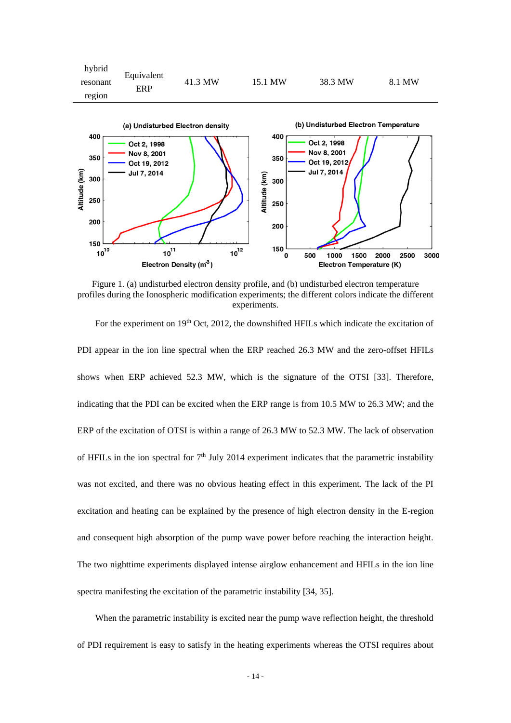

Figure 1. (a) undisturbed electron density profile, and (b) undisturbed electron temperature profiles during the Ionospheric modification experiments; the different colors indicate the different experiments.

For the experiment on 19<sup>th</sup> Oct, 2012, the downshifted HFILs which indicate the excitation of PDI appear in the ion line spectral when the ERP reached 26.3 MW and the zero-offset HFILs shows when ERP achieved 52.3 MW, which is the signature of the OTSI [33]. Therefore, indicating that the PDI can be excited when the ERP range is from 10.5 MW to 26.3 MW; and the ERP of the excitation of OTSI is within a range of 26.3 MW to 52.3 MW. The lack of observation of HFILs in the ion spectral for  $7<sup>th</sup>$  July 2014 experiment indicates that the parametric instability was not excited, and there was no obvious heating effect in this experiment. The lack of the PI excitation and heating can be explained by the presence of high electron density in the E-region and consequent high absorption of the pump wave power before reaching the interaction height. The two nighttime experiments displayed intense airglow enhancement and HFILs in the ion line spectra manifesting the excitation of the parametric instability [34, 35].

When the parametric instability is excited near the pump wave reflection height, the threshold of PDI requirement is easy to satisfy in the heating experiments whereas the OTSI requires about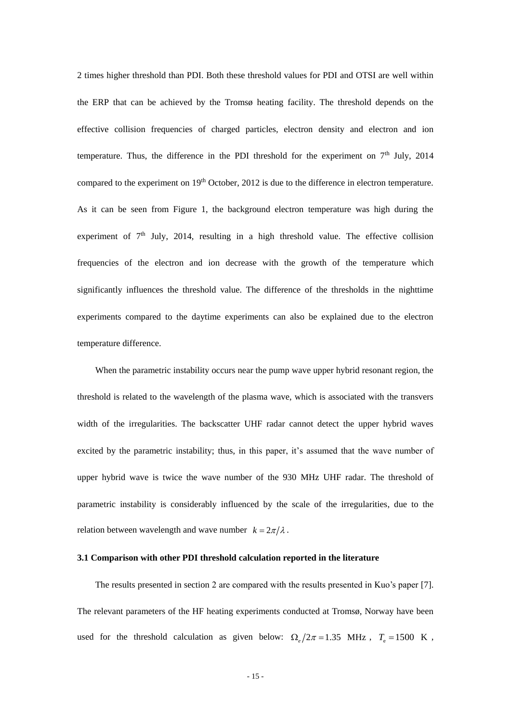2 times higher threshold than PDI. Both these threshold values for PDI and OTSI are well within the ERP that can be achieved by the Tromsø heating facility. The threshold depends on the effective collision frequencies of charged particles, electron density and electron and ion temperature. Thus, the difference in the PDI threshold for the experiment on  $7<sup>th</sup>$  July, 2014 compared to the experiment on 19<sup>th</sup> October, 2012 is due to the difference in electron temperature. As it can be seen from Figure 1, the background electron temperature was high during the experiment of  $7<sup>th</sup>$  July, 2014, resulting in a high threshold value. The effective collision frequencies of the electron and ion decrease with the growth of the temperature which significantly influences the threshold value. The difference of the thresholds in the nighttime experiments compared to the daytime experiments can also be explained due to the electron temperature difference.

When the parametric instability occurs near the pump wave upper hybrid resonant region, the threshold is related to the wavelength of the plasma wave, which is associated with the transvers width of the irregularities. The backscatter UHF radar cannot detect the upper hybrid waves excited by the parametric instability; thus, in this paper, it's assumed that the wave number of upper hybrid wave is twice the wave number of the 930 MHz UHF radar. The threshold of parametric instability is considerably influenced by the scale of the irregularities, due to the relation between wavelength and wave number  $k = 2\pi/\lambda$ .

#### **3.1 Comparison with other PDI threshold calculation reported in the literature**

The results presented in section 2 are compared with the results presented in Kuo's paper [7]. The relevant parameters of the HF heating experiments conducted at Tromsø, Norway have been used for the threshold calculation as given below:  $\Omega_e/2\pi = 1.35$  MHz,  $T_e = 1500$  K,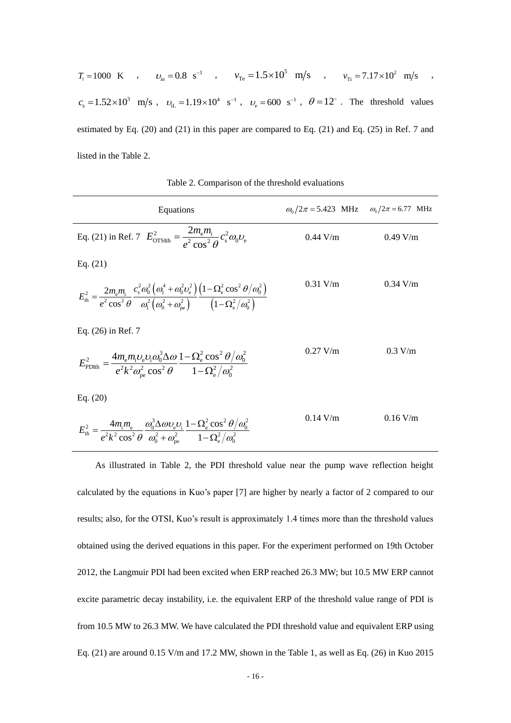| $T_i = 1000 \text{ K}$ , $v_{in} = 0.8 \text{ s}^{-1}$ , $v_{Te} = 1.5 \times 10^5 \text{ m/s}$ , $v_{Ti} = 7.17 \times 10^2 \text{ m/s}$ ,                           |  |  |  |  |  |  |
|-----------------------------------------------------------------------------------------------------------------------------------------------------------------------|--|--|--|--|--|--|
| $c_s = 1.52 \times 10^3$ m/s, $v_{\text{H}} = 1.19 \times 10^4$ s <sup>-1</sup> , $v_{\text{A}} = 600$ s <sup>-1</sup> , $\theta = 12^{\circ}$ . The threshold values |  |  |  |  |  |  |
| estimated by Eq. $(20)$ and $(21)$ in this paper are compared to Eq. $(21)$ and Eq. $(25)$ in Ref. 7 and                                                              |  |  |  |  |  |  |
| listed in the Table 2.                                                                                                                                                |  |  |  |  |  |  |

Table 2. Comparison of the threshold evaluations

| Equations                                                                                                                                                                                                                                                                                                                                                                                   | $\omega_0/2\pi = 5.423$ MHz $\omega_0/2\pi = 6.77$ MHz |            |
|---------------------------------------------------------------------------------------------------------------------------------------------------------------------------------------------------------------------------------------------------------------------------------------------------------------------------------------------------------------------------------------------|--------------------------------------------------------|------------|
| Eq. (21) in Ref. 7 $E_{\text{OTS1th}}^2 = \frac{2m_e m_i}{\rho^2 \cos^2 \theta} c_s^2 \omega_0 v_e$                                                                                                                                                                                                                                                                                         | $0.44$ V/m                                             | 0.49 V/m   |
| Eq. $(21)$                                                                                                                                                                                                                                                                                                                                                                                  |                                                        |            |
| $E_{\rm th}^2 = \frac{2m_{\rm e}m_{\rm i}}{e^2\cos^2\theta} \frac{c_{\rm s}^2\omega_0^2\left(\omega_{\rm l}^4 + \omega_0^2\omega_{\rm e}^2\right)\left(1-\Omega_{\rm e}^2\cos^2\theta/\omega_0^2\right)}{\omega_{\rm l}^2\left(\omega_{\rm o}^2 + \omega_{\rm e}^2\right)} \frac{\left(1-\Omega_{\rm e}^2\cos^2\theta/\omega_0^2\right)}{\left(1-\Omega_{\rm e}^2/\omega_{\rm e}^2\right)}$ | $0.31$ V/m                                             | $0.34$ V/m |
| Eq. (26) in Ref. 7                                                                                                                                                                                                                                                                                                                                                                          |                                                        |            |
| $E_{\text{PDIth}}^2 = \frac{4m_{\text{e}}m_{\text{i}}\upsilon_{\text{e}}\upsilon_{\text{i}}\omega_0^3\Delta\omega}{e^2k^2\omega_{\text{ne}}^2\cos^2\theta}\frac{1-\Omega_{\text{e}}^2\cos^2\theta/\omega_0^2}{1-\Omega_{\text{e}}^2/\omega_{\text{e}}^2}$                                                                                                                                   | $0.27$ V/m                                             | 0.3 V/m    |

Eq. (20)

$$
E_{\rm th}^2 = \frac{4m_{\rm i}m_{\rm e}}{e^2k^2\cos^2\theta}\frac{\omega_0^3\Delta\omega v_{\rm e}v_{\rm i}}{\omega_0^2 + \omega_{\rm pe}^2}\frac{1-\Omega_{\rm e}^2\cos^2\theta/\omega_0^2}{1-\Omega_{\rm e}^2/\omega_0^2}
$$
 0.14 V/m 0.16 V/m

As illustrated in Table 2, the PDI threshold value near the pump wave reflection height calculated by the equations in Kuo's paper [7] are higher by nearly a factor of 2 compared to our results; also, for the OTSI, Kuo's result is approximately 1.4 times more than the threshold values obtained using the derived equations in this paper. For the experiment performed on 19th October 2012, the Langmuir PDI had been excited when ERP reached 26.3 MW; but 10.5 MW ERP cannot excite parametric decay instability, i.e. the equivalent ERP of the threshold value range of PDI is from 10.5 MW to 26.3 MW. We have calculated the PDI threshold value and equivalent ERP using Eq. (21) are around 0.15 V/m and 17.2 MW, shown in the Table 1, as well as Eq. (26) in Kuo 2015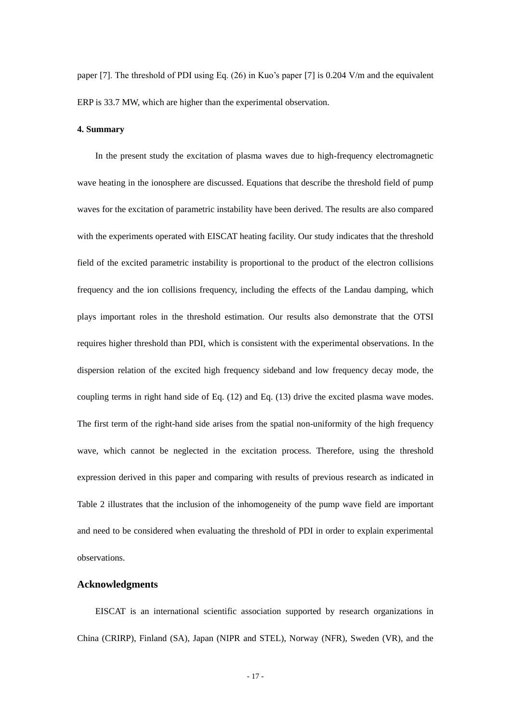paper [7]. The threshold of PDI using Eq. (26) in Kuo's paper [7] is 0.204 V/m and the equivalent ERP is 33.7 MW, which are higher than the experimental observation.

## **4. Summary**

In the present study the excitation of plasma waves due to high-frequency electromagnetic wave heating in the ionosphere are discussed. Equations that describe the threshold field of pump waves for the excitation of parametric instability have been derived. The results are also compared with the experiments operated with EISCAT heating facility. Our study indicates that the threshold field of the excited parametric instability is proportional to the product of the electron collisions frequency and the ion collisions frequency, including the effects of the Landau damping, which plays important roles in the threshold estimation. Our results also demonstrate that the OTSI requires higher threshold than PDI, which is consistent with the experimental observations. In the dispersion relation of the excited high frequency sideband and low frequency decay mode, the coupling terms in right hand side of Eq. (12) and Eq. (13) drive the excited plasma wave modes. The first term of the right-hand side arises from the spatial non-uniformity of the high frequency wave, which cannot be neglected in the excitation process. Therefore, using the threshold expression derived in this paper and comparing with results of previous research as indicated in Table 2 illustrates that the inclusion of the inhomogeneity of the pump wave field are important and need to be considered when evaluating the threshold of PDI in order to explain experimental observations.

## **Acknowledgments**

EISCAT is an international scientific association supported by research organizations in China (CRIRP), Finland (SA), Japan (NIPR and STEL), Norway (NFR), Sweden (VR), and the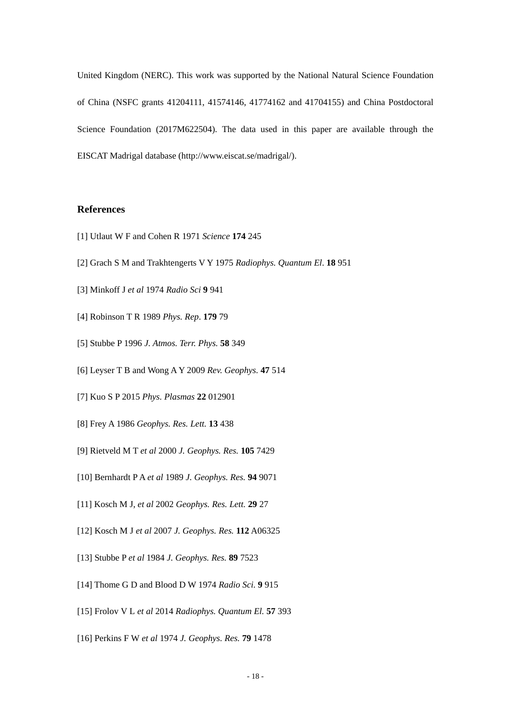United Kingdom (NERC). This work was supported by the National Natural Science Foundation of China (NSFC grants 41204111, 41574146, 41774162 and 41704155) and China Postdoctoral Science Foundation (2017M622504). The data used in this paper are available through the EISCAT Madrigal database (http://www.eiscat.se/madrigal/).

# **References**

- [1] Utlaut W F and Cohen R 1971 *Science* **174** 245
- [2] Grach S M and Trakhtengerts V Y 1975 *Radiophys. Quantum El*. **18** 951
- [3] Minkoff J *et al* 1974 *Radio Sci* **9** 941
- [4] Robinson T R 1989 *Phys. Rep*. **179** 79
- [5] Stubbe P 1996 *J. Atmos. Terr. Phys.* **58** 349
- [6] Leyser T B and Wong A Y 2009 *Rev. Geophys.* **47** 514
- [7] Kuo S P 2015 *Phys. Plasmas* **22** 012901
- [8] Frey A 1986 *Geophys. Res. Lett.* **13** 438
- [9] Rietveld M T *et al* 2000 *J. Geophys. Res.* **105** 7429
- [10] Bernhardt P A *et al* 1989 *J. Geophys. Res.* **94** 9071
- [11] Kosch M J, *et al* 2002 *Geophys. Res. Lett.* **29** 27
- [12] Kosch M J *et al* 2007 *J. Geophys. Res.* **112** A06325
- [13] Stubbe P *et al* 1984 *J. Geophys. Res.* **89** 7523
- [14] Thome G D and Blood D W 1974 *Radio Sci.* **9** 915
- [15] Frolov V L *et al* 2014 *Radiophys. Quantum El.* **57** 393
- [16] Perkins F W *et al* 1974 *J. Geophys. Res.* **79** 1478